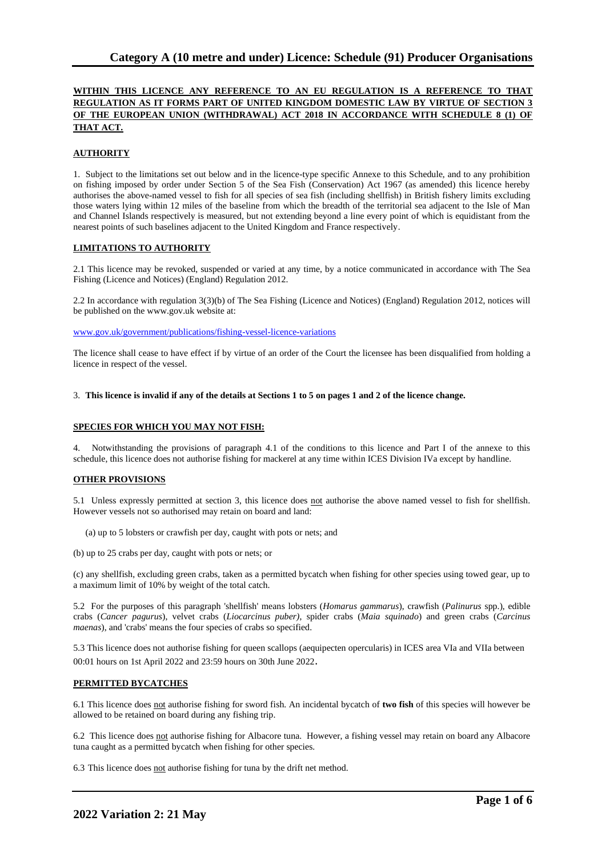# **WITHIN THIS LICENCE ANY REFERENCE TO AN EU REGULATION IS A REFERENCE TO THAT REGULATION AS IT FORMS PART OF UNITED KINGDOM DOMESTIC LAW BY VIRTUE OF SECTION 3 OF THE EUROPEAN UNION (WITHDRAWAL) ACT 2018 IN ACCORDANCE WITH SCHEDULE 8 (1) OF THAT ACT.**

## **AUTHORITY**

1. Subject to the limitations set out below and in the licence-type specific Annexe to this Schedule, and to any prohibition on fishing imposed by order under Section 5 of the Sea Fish (Conservation) Act 1967 (as amended) this licence hereby authorises the above-named vessel to fish for all species of sea fish (including shellfish) in British fishery limits excluding those waters lying within 12 miles of the baseline from which the breadth of the territorial sea adjacent to the Isle of Man and Channel Islands respectively is measured, but not extending beyond a line every point of which is equidistant from the nearest points of such baselines adjacent to the United Kingdom and France respectively.

### **LIMITATIONS TO AUTHORITY**

2.1 This licence may be revoked, suspended or varied at any time, by a notice communicated in accordance with The Sea Fishing (Licence and Notices) (England) Regulation 2012.

2.2 In accordance with regulation 3(3)(b) of The Sea Fishing (Licence and Notices) (England) Regulation 2012, notices will be published on the www.gov.uk website at:

[www.gov.uk/government/publications/fishing-vessel-licence-variations](http://www.gov.uk/government/publications/fishing-vessel-licence-variations)

The licence shall cease to have effect if by virtue of an order of the Court the licensee has been disqualified from holding a licence in respect of the vessel.

#### 3. **This licence is invalid if any of the details at Sections 1 to 5 on pages 1 and 2 of the licence change.**

### **SPECIES FOR WHICH YOU MAY NOT FISH:**

4. Notwithstanding the provisions of paragraph 4.1 of the conditions to this licence and Part I of the annexe to this schedule, this licence does not authorise fishing for mackerel at any time within ICES Division IVa except by handline.

### **OTHER PROVISIONS**

5.1 Unless expressly permitted at section 3, this licence does not authorise the above named vessel to fish for shellfish. However vessels not so authorised may retain on board and land:

(a) up to 5 lobsters or crawfish per day, caught with pots or nets; and

(b) up to 25 crabs per day, caught with pots or nets; or

(c) any shellfish, excluding green crabs, taken as a permitted bycatch when fishing for other species using towed gear, up to a maximum limit of 10% by weight of the total catch.

5.2 For the purposes of this paragraph 'shellfish' means lobsters (*Homarus gammarus*), crawfish (*Palinurus* spp.), edible crabs (*Cancer pagurus*), velvet crabs (*Liocarcinus puber)*, spider crabs (*Maia squinado*) and green crabs (*Carcinus maenas*), and 'crabs' means the four species of crabs so specified.

5.3 This licence does not authorise fishing for queen scallops (aequipecten opercularis) in ICES area VIa and VIIa between 00:01 hours on 1st April 2022 and 23:59 hours on 30th June 2022.

### **PERMITTED BYCATCHES**

6.1 This licence does not authorise fishing for sword fish. An incidental bycatch of **two fish** of this species will however be allowed to be retained on board during any fishing trip.

6.2 This licence does not authorise fishing for Albacore tuna. However, a fishing vessel may retain on board any Albacore tuna caught as a permitted bycatch when fishing for other species.

6.3 This licence does not authorise fishing for tuna by the drift net method.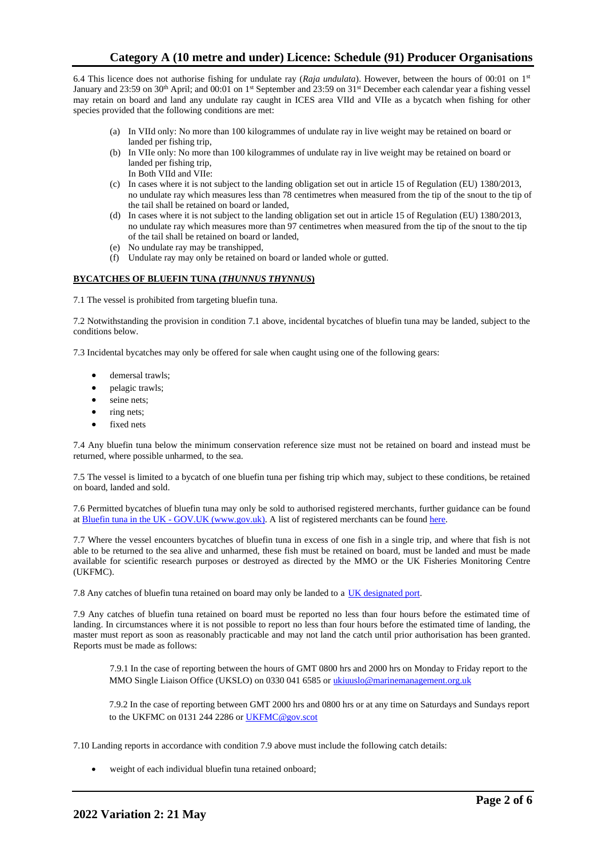6.4 This licence does not authorise fishing for undulate ray (*Raja undulata*). However, between the hours of 00:01 on 1st January and 23:59 on 30<sup>th</sup> April; and 00:01 on 1<sup>st</sup> September and 23:59 on 31<sup>st</sup> December each calendar year a fishing vessel may retain on board and land any undulate ray caught in ICES area VIId and VIIe as a bycatch when fishing for other species provided that the following conditions are met:

- (a) In VIId only: No more than 100 kilogrammes of undulate ray in live weight may be retained on board or landed per fishing trip,
- (b) In VIIe only: No more than 100 kilogrammes of undulate ray in live weight may be retained on board or landed per fishing trip, In Both VIId and VIIe:
- (c) In cases where it is not subject to the landing obligation set out in article 15 of Regulation (EU) 1380/2013, no undulate ray which measures less than 78 centimetres when measured from the tip of the snout to the tip of the tail shall be retained on board or landed,
- (d) In cases where it is not subject to the landing obligation set out in article 15 of Regulation (EU) 1380/2013, no undulate ray which measures more than 97 centimetres when measured from the tip of the snout to the tip of the tail shall be retained on board or landed,
- (e) No undulate ray may be transhipped,
- (f) Undulate ray may only be retained on board or landed whole or gutted.

## **BYCATCHES OF BLUEFIN TUNA (***THUNNUS THYNNUS***)**

7.1 The vessel is prohibited from targeting bluefin tuna.

7.2 Notwithstanding the provision in condition 7.1 above, incidental bycatches of bluefin tuna may be landed, subject to the conditions below.

7.3 Incidental bycatches may only be offered for sale when caught using one of the following gears:

- demersal trawls;
- pelagic trawls;
- seine nets;
- ring nets;
- fixed nets

7.4 Any bluefin tuna below the minimum conservation reference size must not be retained on board and instead must be returned, where possible unharmed, to the sea.

7.5 The vessel is limited to a bycatch of one bluefin tuna per fishing trip which may, subject to these conditions, be retained on board, landed and sold.

7.6 Permitted bycatches of bluefin tuna may only be sold to authorised registered merchants, further guidance can be found at Bluefin tuna in the UK - GOV.UK (www.gov.uk). A list of registered merchants can be found [here.](https://www.gov.uk/government/publications/bluefin-tuna-traders/registered-bluefin-tuna-traders)

7.7 Where the vessel encounters bycatches of bluefin tuna in excess of one fish in a single trip, and where that fish is not able to be returned to the sea alive and unharmed, these fish must be retained on board, must be landed and must be made available for scientific research purposes or destroyed as directed by the MMO or the UK Fisheries Monitoring Centre (UKFMC).

7.8 Any catches of bluefin tuna retained on board may only be landed to a [UK designated port.](https://www.gov.uk/government/publications/designated-ports/designated-ports-for-uk-flagged-vessels-landing-bluefin-tuna)

7.9 Any catches of bluefin tuna retained on board must be reported no less than four hours before the estimated time of landing. In circumstances where it is not possible to report no less than four hours before the estimated time of landing, the master must report as soon as reasonably practicable and may not land the catch until prior authorisation has been granted. Reports must be made as follows:

7.9.1 In the case of reporting between the hours of GMT 0800 hrs and 2000 hrs on Monday to Friday report to the MMO Single Liaison Office (UKSLO) on 0330 041 6585 o[r ukiuuslo@marinemanagement.org.uk](mailto:ukiuuslo@marinemanagement.org.uk)

7.9.2 In the case of reporting between GMT 2000 hrs and 0800 hrs or at any time on Saturdays and Sundays report to the UKFMC on 0131 244 2286 o[r UKFMC@gov.scot](mailto:UKFMC@gov.scot)

7.10 Landing reports in accordance with condition 7.9 above must include the following catch details:

weight of each individual bluefin tuna retained onboard;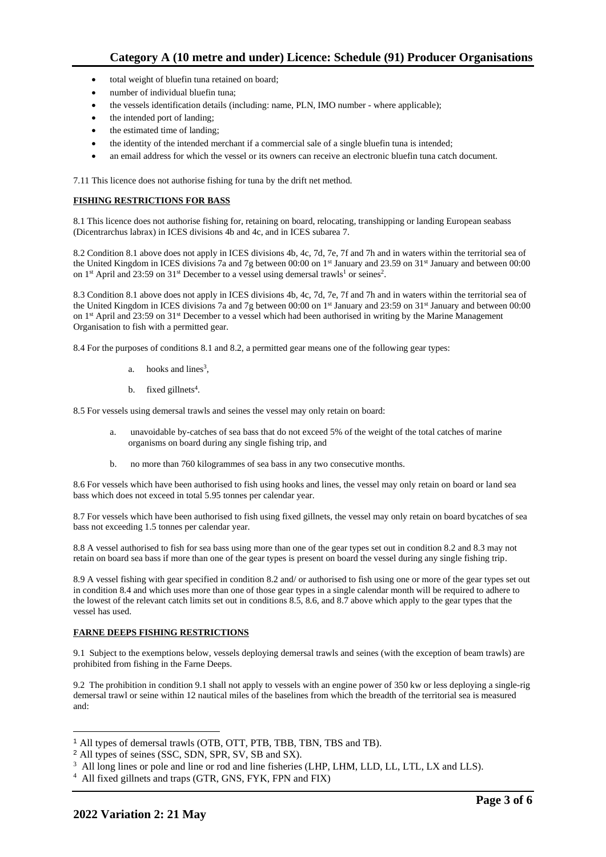- total weight of bluefin tuna retained on board;
- number of individual bluefin tuna;
- the vessels identification details (including: name, PLN, IMO number where applicable);
- the intended port of landing;
- the estimated time of landing;
- the identity of the intended merchant if a commercial sale of a single bluefin tuna is intended;
- an email address for which the vessel or its owners can receive an electronic bluefin tuna catch document.

7.11 This licence does not authorise fishing for tuna by the drift net method.

## **FISHING RESTRICTIONS FOR BASS**

8.1 This licence does not authorise fishing for, retaining on board, relocating, transhipping or landing European seabass (Dicentrarchus labrax) in ICES divisions 4b and 4c, and in ICES subarea 7.

8.2 Condition 8.1 above does not apply in ICES divisions 4b, 4c, 7d, 7e, 7f and 7h and in waters within the territorial sea of the United Kingdom in ICES divisions 7a and 7g between 00:00 on 1st January and 23.59 on 31st January and between 00:00 on 1<sup>st</sup> April and 23:59 on 31<sup>st</sup> December to a vessel using demersal trawls<sup>1</sup> or seines<sup>2</sup>.

8.3 Condition 8.1 above does not apply in ICES divisions 4b, 4c, 7d, 7e, 7f and 7h and in waters within the territorial sea of the United Kingdom in ICES divisions 7a and 7g between 00:00 on 1<sup>st</sup> January and 23:59 on 31<sup>st</sup> January and between 00:00 on 1<sup>st</sup> April and 23:59 on 31<sup>st</sup> December to a vessel which had been authorised in writing by the Marine Management Organisation to fish with a permitted gear.

8.4 For the purposes of conditions 8.1 and 8.2, a permitted gear means one of the following gear types:

- a. hooks and lines<sup>3</sup>,
- b. fixed gillnets<sup>4</sup>.

8.5 For vessels using demersal trawls and seines the vessel may only retain on board:

- a. unavoidable by-catches of sea bass that do not exceed 5% of the weight of the total catches of marine organisms on board during any single fishing trip, and
- b. no more than 760 kilogrammes of sea bass in any two consecutive months.

8.6 For vessels which have been authorised to fish using hooks and lines, the vessel may only retain on board or land sea bass which does not exceed in total 5.95 tonnes per calendar year.

8.7 For vessels which have been authorised to fish using fixed gillnets, the vessel may only retain on board bycatches of sea bass not exceeding 1.5 tonnes per calendar year.

8.8 A vessel authorised to fish for sea bass using more than one of the gear types set out in condition 8.2 and 8.3 may not retain on board sea bass if more than one of the gear types is present on board the vessel during any single fishing trip.

8.9 A vessel fishing with gear specified in condition 8.2 and/ or authorised to fish using one or more of the gear types set out in condition 8.4 and which uses more than one of those gear types in a single calendar month will be required to adhere to the lowest of the relevant catch limits set out in conditions 8.5, 8.6, and 8.7 above which apply to the gear types that the vessel has used.

## **FARNE DEEPS FISHING RESTRICTIONS**

9.1 Subject to the exemptions below, vessels deploying demersal trawls and seines (with the exception of beam trawls) are prohibited from fishing in the Farne Deeps.

9.2 The prohibition in condition 9.1 shall not apply to vessels with an engine power of 350 kw or less deploying a single-rig demersal trawl or seine within 12 nautical miles of the baselines from which the breadth of the territorial sea is measured and:

<sup>1</sup> All types of demersal trawls (OTB, OTT, PTB, TBB, TBN, TBS and TB).

<sup>2</sup> All types of seines (SSC, SDN, SPR, SV, SB and SX).

<sup>&</sup>lt;sup>3</sup> All long lines or pole and line or rod and line fisheries (LHP, LHM, LLD, LL, LTL, LX and LLS).

<sup>4</sup> All fixed gillnets and traps (GTR, GNS, FYK, FPN and FIX)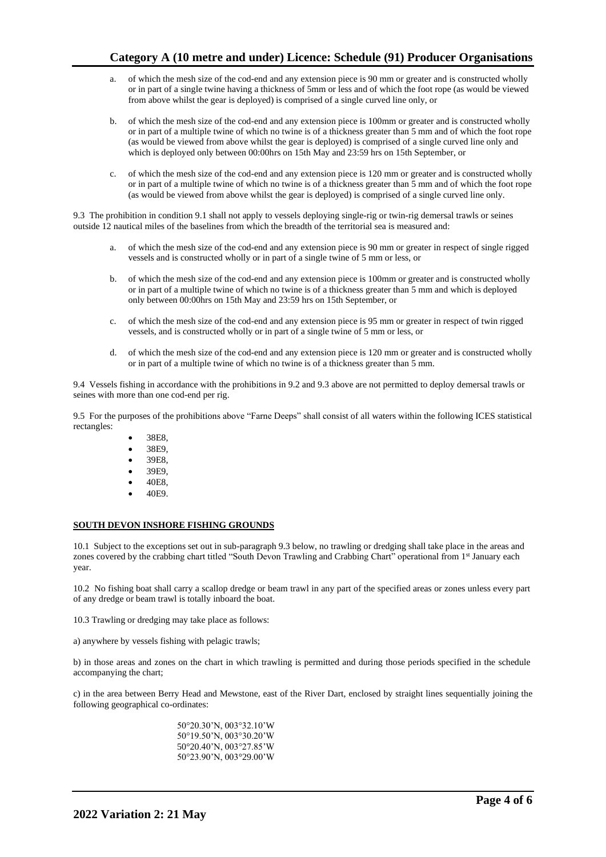- a. of which the mesh size of the cod-end and any extension piece is 90 mm or greater and is constructed wholly or in part of a single twine having a thickness of 5mm or less and of which the foot rope (as would be viewed from above whilst the gear is deployed) is comprised of a single curved line only, or
- b. of which the mesh size of the cod-end and any extension piece is 100mm or greater and is constructed wholly or in part of a multiple twine of which no twine is of a thickness greater than 5 mm and of which the foot rope (as would be viewed from above whilst the gear is deployed) is comprised of a single curved line only and which is deployed only between 00:00hrs on 15th May and 23:59 hrs on 15th September, or
- c. of which the mesh size of the cod-end and any extension piece is 120 mm or greater and is constructed wholly or in part of a multiple twine of which no twine is of a thickness greater than 5 mm and of which the foot rope (as would be viewed from above whilst the gear is deployed) is comprised of a single curved line only.

9.3 The prohibition in condition 9.1 shall not apply to vessels deploying single-rig or twin-rig demersal trawls or seines outside 12 nautical miles of the baselines from which the breadth of the territorial sea is measured and:

- a. of which the mesh size of the cod-end and any extension piece is 90 mm or greater in respect of single rigged vessels and is constructed wholly or in part of a single twine of 5 mm or less, or
- b. of which the mesh size of the cod-end and any extension piece is 100mm or greater and is constructed wholly or in part of a multiple twine of which no twine is of a thickness greater than 5 mm and which is deployed only between 00:00hrs on 15th May and 23:59 hrs on 15th September, or
- c. of which the mesh size of the cod-end and any extension piece is 95 mm or greater in respect of twin rigged vessels, and is constructed wholly or in part of a single twine of 5 mm or less, or
- d. of which the mesh size of the cod-end and any extension piece is 120 mm or greater and is constructed wholly or in part of a multiple twine of which no twine is of a thickness greater than 5 mm.

9.4 Vessels fishing in accordance with the prohibitions in 9.2 and 9.3 above are not permitted to deploy demersal trawls or seines with more than one cod-end per rig.

9.5 For the purposes of the prohibitions above "Farne Deeps" shall consist of all waters within the following ICES statistical rectangles:

- 38E8,
- 38E9,
- 39E8,
- 39E9,
- 40E8,
- 40E9.

### **SOUTH DEVON INSHORE FISHING GROUNDS**

10.1 Subject to the exceptions set out in sub-paragraph 9.3 below, no trawling or dredging shall take place in the areas and zones covered by the crabbing chart titled "South Devon Trawling and Crabbing Chart" operational from 1st January each year.

10.2 No fishing boat shall carry a scallop dredge or beam trawl in any part of the specified areas or zones unless every part of any dredge or beam trawl is totally inboard the boat.

10.3 Trawling or dredging may take place as follows:

a) anywhere by vessels fishing with pelagic trawls;

b) in those areas and zones on the chart in which trawling is permitted and during those periods specified in the schedule accompanying the chart;

c) in the area between Berry Head and Mewstone, east of the River Dart, enclosed by straight lines sequentially joining the following geographical co-ordinates:

> 50°20.30'N, 003°32.10'W 50°19.50'N, 003°30.20'W 50°20.40'N, 003°27.85'W 50°23.90'N, 003°29.00'W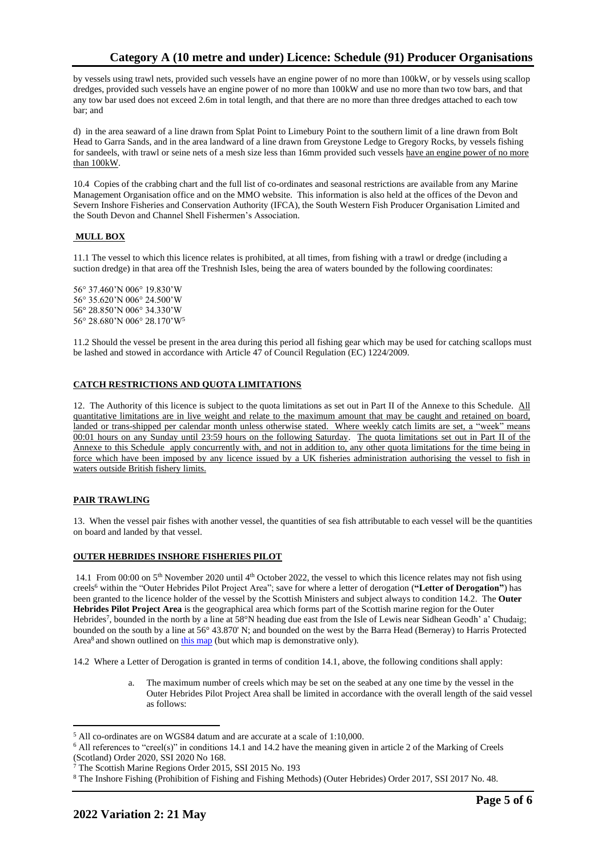by vessels using trawl nets, provided such vessels have an engine power of no more than 100kW, or by vessels using scallop dredges, provided such vessels have an engine power of no more than 100kW and use no more than two tow bars, and that any tow bar used does not exceed 2.6m in total length, and that there are no more than three dredges attached to each tow bar; and

d) in the area seaward of a line drawn from Splat Point to Limebury Point to the southern limit of a line drawn from Bolt Head to Garra Sands, and in the area landward of a line drawn from Greystone Ledge to Gregory Rocks, by vessels fishing for sandeels, with trawl or seine nets of a mesh size less than 16mm provided such vessels have an engine power of no more than 100kW.

10.4 Copies of the crabbing chart and the full list of co-ordinates and seasonal restrictions are available from any Marine Management Organisation office and on the MMO website. This information is also held at the offices of the Devon and Severn Inshore Fisheries and Conservation Authority (IFCA), the South Western Fish Producer Organisation Limited and the South Devon and Channel Shell Fishermen's Association.

## **MULL BOX**

11.1 The vessel to which this licence relates is prohibited, at all times, from fishing with a trawl or dredge (including a suction dredge) in that area off the Treshnish Isles, being the area of waters bounded by the following coordinates:

56° 37.460'N 006° 19.830'W 56° 35.620'N 006° 24.500'W 56° 28.850'N 006° 34.330'W 56° 28.680'N 006° 28.170'W<sup>5</sup>

11.2 Should the vessel be present in the area during this period all fishing gear which may be used for catching scallops must be lashed and stowed in accordance with Article 47 of Council Regulation (EC) 1224/2009.

## **CATCH RESTRICTIONS AND QUOTA LIMITATIONS**

12. The Authority of this licence is subject to the quota limitations as set out in Part II of the Annexe to this Schedule. All quantitative limitations are in live weight and relate to the maximum amount that may be caught and retained on board, landed or trans-shipped per calendar month unless otherwise stated. Where weekly catch limits are set, a "week" means 00:01 hours on any Sunday until 23:59 hours on the following Saturday. The quota limitations set out in Part II of the Annexe to this Schedule apply concurrently with, and not in addition to, any other quota limitations for the time being in force which have been imposed by any licence issued by a UK fisheries administration authorising the vessel to fish in waters outside British fishery limits.

### **PAIR TRAWLING**

13. When the vessel pair fishes with another vessel, the quantities of sea fish attributable to each vessel will be the quantities on board and landed by that vessel.

### **OUTER HEBRIDES INSHORE FISHERIES PILOT**

14.1 From 00:00 on  $5<sup>th</sup>$  November 2020 until  $4<sup>th</sup>$  October 2022, the vessel to which this licence relates may not fish using creels<sup>6</sup> within the "Outer Hebrides Pilot Project Area"; save for where a letter of derogation (**"Letter of Derogation"**) has been granted to the licence holder of the vessel by the Scottish Ministers and subject always to condition 14.2. The **Outer Hebrides Pilot Project Area** is the geographical area which forms part of the Scottish marine region for the Outer Hebrides<sup>7</sup>, bounded in the north by a line at 58°N heading due east from the Isle of Lewis near Sidhean Geodh' a' Chudaig; bounded on the south by a line at 56° 43.870' N; and bounded on the west by the Barra Head (Berneray) to Harris Protected Area<sup>8</sup> and shown outlined on [this map](https://www.gov.scot/publications/outer-hebrides-inshore-fisheries-pilot-area) (but which map is demonstrative only).

14.2 Where a Letter of Derogation is granted in terms of condition 14.1, above, the following conditions shall apply:

The maximum number of creels which may be set on the seabed at any one time by the vessel in the Outer Hebrides Pilot Project Area shall be limited in accordance with the overall length of the said vessel as follows:

<sup>5</sup> All co-ordinates are on WGS84 datum and are accurate at a scale of 1:10,000.

<sup>6</sup> All references to "creel(s)" in conditions 14.1 and 14.2 have the meaning given in article 2 of the Marking of Creels (Scotland) Order 2020, SSI 2020 No 168.

<sup>7</sup> The Scottish Marine Regions Order 2015, SSI 2015 No. 193

<sup>8</sup> The Inshore Fishing (Prohibition of Fishing and Fishing Methods) (Outer Hebrides) Order 2017, SSI 2017 No. 48.